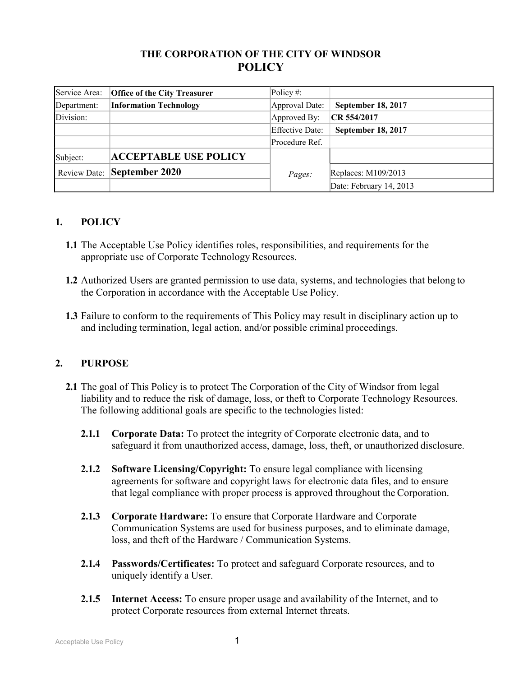# **THE CORPORATION OF THE CITY OF WINDSOR POLICY**

| Service Area: | <b>Office of the City Treasurer</b> | Policy #:              |                           |
|---------------|-------------------------------------|------------------------|---------------------------|
| Department:   | <b>Information Technology</b>       | Approval Date:         | September 18, 2017        |
| Division:     |                                     | Approved By:           | CR 554/2017               |
|               |                                     | <b>Effective Date:</b> | <b>September 18, 2017</b> |
|               |                                     | Procedure Ref.         |                           |
| Subject:      | <b>ACCEPTABLE USE POLICY</b>        |                        |                           |
|               | <b>Review Date: September 2020</b>  | Pages:                 | Replaces: M109/2013       |
|               |                                     |                        | Date: February 14, 2013   |

# **1. POLICY**

- **1.1** The Acceptable Use Policy identifies roles, responsibilities, and requirements for the appropriate use of Corporate Technology Resources.
- **1.2** Authorized Users are granted permission to use data, systems, and technologies that belong to the Corporation in accordance with the Acceptable Use Policy.
- **1.3** Failure to conform to the requirements of This Policy may result in disciplinary action up to and including termination, legal action, and/or possible criminal proceedings.

## **2. PURPOSE**

- **2.1** The goal of This Policy is to protect The Corporation of the City of Windsor from legal liability and to reduce the risk of damage, loss, or theft to Corporate Technology Resources. The following additional goals are specific to the technologies listed:
	- **2.1.1 Corporate Data:** To protect the integrity of Corporate electronic data, and to safeguard it from unauthorized access, damage, loss, theft, or unauthorized disclosure.
	- **2.1.2 Software Licensing/Copyright:** To ensure legal compliance with licensing agreements for software and copyright laws for electronic data files, and to ensure that legal compliance with proper process is approved throughout the Corporation.
	- **2.1.3 Corporate Hardware:** To ensure that Corporate Hardware and Corporate Communication Systems are used for business purposes, and to eliminate damage, loss, and theft of the Hardware / Communication Systems.
	- **2.1.4 Passwords/Certificates:** To protect and safeguard Corporate resources, and to uniquely identify a User.
	- **2.1.5 Internet Access:** To ensure proper usage and availability of the Internet, and to protect Corporate resources from external Internet threats.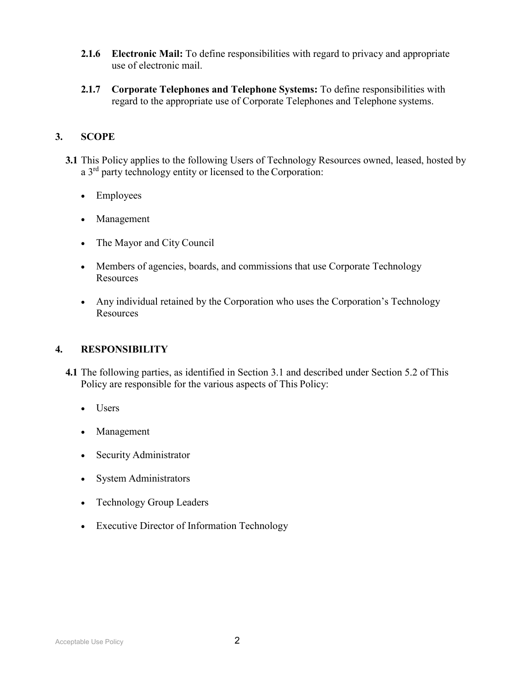- **2.1.6 Electronic Mail:** To define responsibilities with regard to privacy and appropriate use of electronic mail.
- **2.1.7 Corporate Telephones and Telephone Systems:** To define responsibilities with regard to the appropriate use of Corporate Telephones and Telephone systems.

# **3. SCOPE**

- **3.1** This Policy applies to the following Users of Technology Resources owned, leased, hosted by a 3<sup>rd</sup> party technology entity or licensed to the Corporation:
	- Employees
	- Management
	- The Mayor and City Council
	- Members of agencies, boards, and commissions that use Corporate Technology **Resources**
	- Any individual retained by the Corporation who uses the Corporation's Technology Resources

## **4. RESPONSIBILITY**

- **4.1** The following parties, as identified in Section 3.1 and described under Section 5.2 of This Policy are responsible for the various aspects of This Policy:
	- Users
	- Management
	- Security Administrator
	- System Administrators
	- Technology Group Leaders
	- Executive Director of Information Technology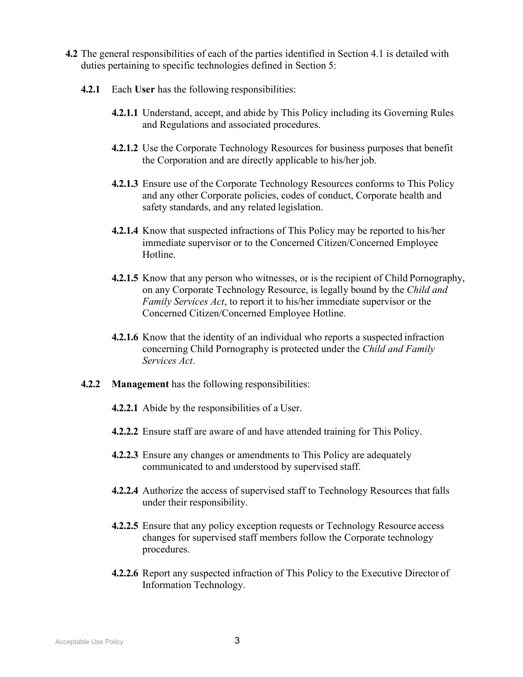- **4.2** The general responsibilities of each of the parties identified in Section 4.1 is detailed with duties pertaining to specific technologies defined in Section 5:
	- **4.2.1** Each **User** has the following responsibilities:
		- **4.2.1.1** Understand, accept, and abide by This Policy including its Governing Rules and Regulations and associated procedures.
		- **4.2.1.2** Use the Corporate Technology Resources for business purposes that benefit the Corporation and are directly applicable to his/her job.
		- **4.2.1.3** Ensure use of the Corporate Technology Resources conforms to This Policy and any other Corporate policies, codes of conduct, Corporate health and safety standards, and any related legislation.
		- **4.2.1.4** Know that suspected infractions of This Policy may be reported to his/her immediate supervisor or to the Concerned Citizen/Concerned Employee Hotline.
		- **4.2.1.5** Know that any person who witnesses, or is the recipient of Child Pornography, on any Corporate Technology Resource, is legally bound by the *Child and Family Services Act*, to report it to his/her immediate supervisor or the Concerned Citizen/Concerned Employee Hotline.
		- **4.2.1.6** Know that the identity of an individual who reports a suspected infraction concerning Child Pornography is protected under the *Child and Family Services Act*.
	- **4.2.2 Management** has the following responsibilities:
		- **4.2.2.1** Abide by the responsibilities of a User.
		- **4.2.2.2** Ensure staff are aware of and have attended training for This Policy.
		- **4.2.2.3** Ensure any changes or amendments to This Policy are adequately communicated to and understood by supervised staff.
		- **4.2.2.4** Authorize the access of supervised staff to Technology Resources that falls under their responsibility.
		- **4.2.2.5** Ensure that any policy exception requests or Technology Resource access changes for supervised staff members follow the Corporate technology procedures.
		- **4.2.2.6** Report any suspected infraction of This Policy to the Executive Director of Information Technology.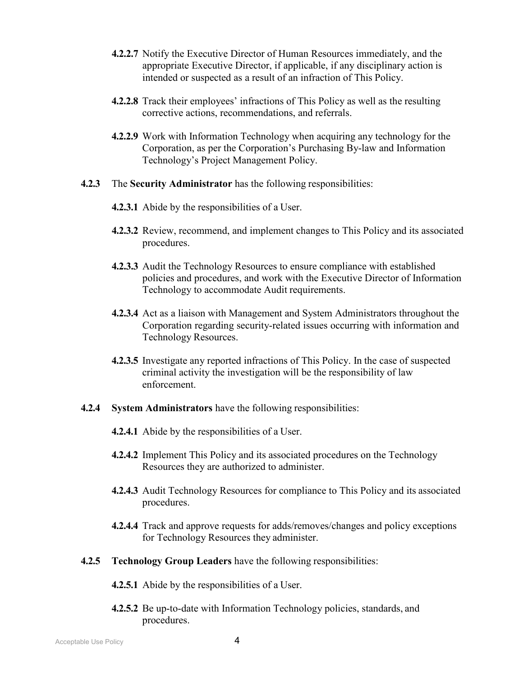- **4.2.2.7** Notify the Executive Director of Human Resources immediately, and the appropriate Executive Director, if applicable, if any disciplinary action is intended or suspected as a result of an infraction of This Policy.
- **4.2.2.8** Track their employees' infractions of This Policy as well as the resulting corrective actions, recommendations, and referrals.
- **4.2.2.9** Work with Information Technology when acquiring any technology for the Corporation, as per the Corporation's Purchasing By-law and Information Technology's Project Management Policy.
- **4.2.3** The **Security Administrator** has the following responsibilities:
	- **4.2.3.1** Abide by the responsibilities of a User.
	- **4.2.3.2** Review, recommend, and implement changes to This Policy and its associated procedures.
	- **4.2.3.3** Audit the Technology Resources to ensure compliance with established policies and procedures, and work with the Executive Director of Information Technology to accommodate Audit requirements.
	- **4.2.3.4** Act as a liaison with Management and System Administrators throughout the Corporation regarding security-related issues occurring with information and Technology Resources.
	- **4.2.3.5** Investigate any reported infractions of This Policy. In the case of suspected criminal activity the investigation will be the responsibility of law enforcement.
- **4.2.4 System Administrators** have the following responsibilities:
	- **4.2.4.1** Abide by the responsibilities of a User.
	- **4.2.4.2** Implement This Policy and its associated procedures on the Technology Resources they are authorized to administer.
	- **4.2.4.3** Audit Technology Resources for compliance to This Policy and its associated procedures.
	- **4.2.4.4** Track and approve requests for adds/removes/changes and policy exceptions for Technology Resources they administer.
- **4.2.5 Technology Group Leaders** have the following responsibilities:
	- **4.2.5.1** Abide by the responsibilities of a User.
	- **4.2.5.2** Be up-to-date with Information Technology policies, standards, and procedures.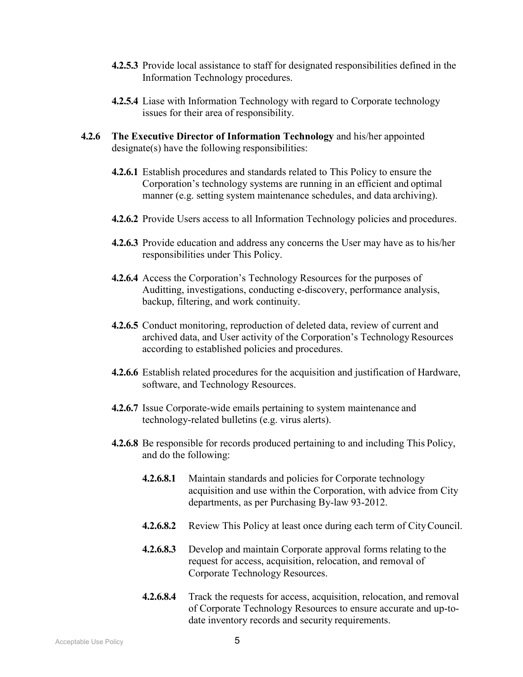- **4.2.5.3** Provide local assistance to staff for designated responsibilities defined in the Information Technology procedures.
- **4.2.5.4** Liase with Information Technology with regard to Corporate technology issues for their area of responsibility.
- **4.2.6 The Executive Director of Information Technology** and his/her appointed designate(s) have the following responsibilities:
	- **4.2.6.1** Establish procedures and standards related to This Policy to ensure the Corporation's technology systems are running in an efficient and optimal manner (e.g. setting system maintenance schedules, and data archiving).
	- **4.2.6.2** Provide Users access to all Information Technology policies and procedures.
	- **4.2.6.3** Provide education and address any concerns the User may have as to his/her responsibilities under This Policy.
	- **4.2.6.4** Access the Corporation's Technology Resources for the purposes of Auditting, investigations, conducting e-discovery, performance analysis, backup, filtering, and work continuity.
	- **4.2.6.5** Conduct monitoring, reproduction of deleted data, review of current and archived data, and User activity of the Corporation's Technology Resources according to established policies and procedures.
	- **4.2.6.6** Establish related procedures for the acquisition and justification of Hardware, software, and Technology Resources.
	- **4.2.6.7** Issue Corporate-wide emails pertaining to system maintenance and technology-related bulletins (e.g. virus alerts).
	- **4.2.6.8** Be responsible for records produced pertaining to and including This Policy, and do the following:
		- **4.2.6.8.1** Maintain standards and policies for Corporate technology acquisition and use within the Corporation, with advice from City departments, as per Purchasing By-law 93-2012.
		- **4.2.6.8.2** Review This Policy at least once during each term of CityCouncil.
		- **4.2.6.8.3** Develop and maintain Corporate approval forms relating to the request for access, acquisition, relocation, and removal of Corporate Technology Resources.
		- **4.2.6.8.4** Track the requests for access, acquisition, relocation, and removal of Corporate Technology Resources to ensure accurate and up-todate inventory records and security requirements.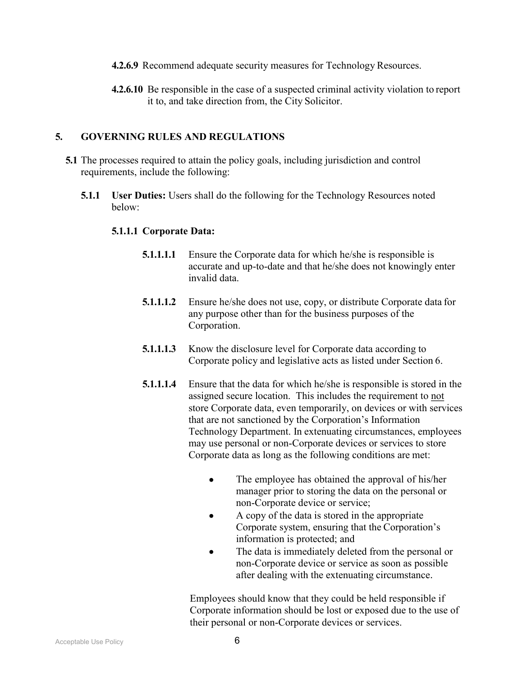- **4.2.6.9** Recommend adequate security measures for Technology Resources.
- **4.2.6.10** Be responsible in the case of a suspected criminal activity violation to report it to, and take direction from, the City Solicitor.

### **5. GOVERNING RULES AND REGULATIONS**

- **5.1** The processes required to attain the policy goals, including jurisdiction and control requirements, include the following:
	- **5.1.1 User Duties:** Users shall do the following for the Technology Resources noted below:

#### **5.1.1.1 Corporate Data:**

- **5.1.1.1.1** Ensure the Corporate data for which he/she is responsible is accurate and up-to-date and that he/she does not knowingly enter invalid data.
- **5.1.1.1.2** Ensure he/she does not use, copy, or distribute Corporate data for any purpose other than for the business purposes of the Corporation.
- **5.1.1.1.3** Know the disclosure level for Corporate data according to Corporate policy and legislative acts as listed under Section 6.
- **5.1.1.1.4** Ensure that the data for which he/she is responsible is stored in the assigned secure location. This includes the requirement to not store Corporate data, even temporarily, on devices or with services that are not sanctioned by the Corporation's Information Technology Department. In extenuating circumstances, employees may use personal or non-Corporate devices or services to store Corporate data as long as the following conditions are met:
	- The employee has obtained the approval of his/her manager prior to storing the data on the personal or non-Corporate device or service;
	- A copy of the data is stored in the appropriate Corporate system, ensuring that the Corporation's information is protected; and
	- The data is immediately deleted from the personal or non-Corporate device or service as soon as possible after dealing with the extenuating circumstance.

Employees should know that they could be held responsible if Corporate information should be lost or exposed due to the use of their personal or non-Corporate devices or services.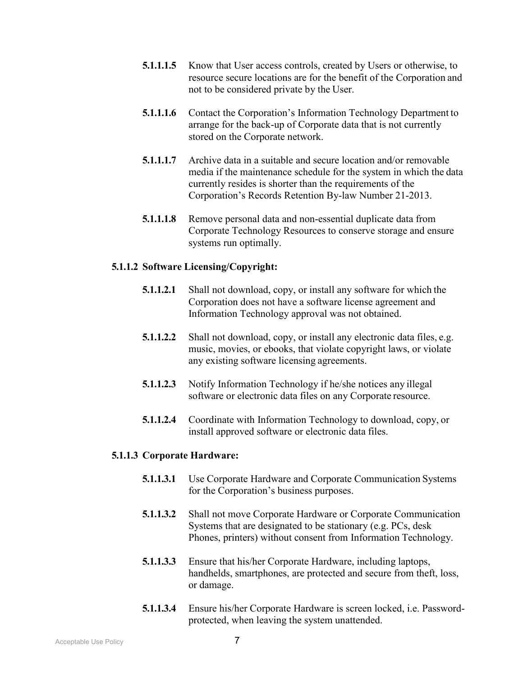- **5.1.1.1.5** Know that User access controls, created by Users or otherwise, to resource secure locations are for the benefit of the Corporation and not to be considered private by the User.
- **5.1.1.1.6** Contact the Corporation's Information Technology Department to arrange for the back-up of Corporate data that is not currently stored on the Corporate network.
- **5.1.1.1.7** Archive data in a suitable and secure location and/or removable media if the maintenance schedule for the system in which the data currently resides is shorter than the requirements of the Corporation's Records Retention By-law Number 21-2013.
- **5.1.1.1.8** Remove personal data and non-essential duplicate data from Corporate Technology Resources to conserve storage and ensure systems run optimally.

### **5.1.1.2 Software Licensing/Copyright:**

- **5.1.1.2.1** Shall not download, copy, or install any software for which the Corporation does not have a software license agreement and Information Technology approval was not obtained.
- **5.1.1.2.2** Shall not download, copy, or install any electronic data files, e.g. music, movies, or ebooks, that violate copyright laws, or violate any existing software licensing agreements.
- **5.1.1.2.3** Notify Information Technology if he/she notices any illegal software or electronic data files on any Corporate resource.
- **5.1.1.2.4** Coordinate with Information Technology to download, copy, or install approved software or electronic data files.

### **5.1.1.3 Corporate Hardware:**

- **5.1.1.3.1** Use Corporate Hardware and Corporate Communication Systems for the Corporation's business purposes.
- **5.1.1.3.2** Shall not move Corporate Hardware or Corporate Communication Systems that are designated to be stationary (e.g. PCs, desk Phones, printers) without consent from Information Technology.
- **5.1.1.3.3** Ensure that his/her Corporate Hardware, including laptops, handhelds, smartphones, are protected and secure from theft, loss, or damage.
- **5.1.1.3.4** Ensure his/her Corporate Hardware is screen locked, i.e. Passwordprotected, when leaving the system unattended.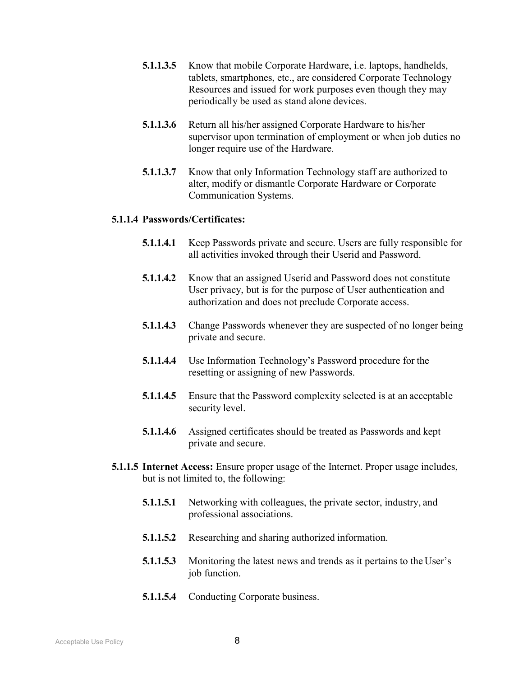- **5.1.1.3.5** Know that mobile Corporate Hardware, i.e. laptops, handhelds, tablets, smartphones, etc., are considered Corporate Technology Resources and issued for work purposes even though they may periodically be used as stand alone devices.
- **5.1.1.3.6** Return all his/her assigned Corporate Hardware to his/her supervisor upon termination of employment or when job duties no longer require use of the Hardware.
- **5.1.1.3.7** Know that only Information Technology staff are authorized to alter, modify or dismantle Corporate Hardware or Corporate Communication Systems.

#### **5.1.1.4 Passwords/Certificates:**

- **5.1.1.4.1** Keep Passwords private and secure. Users are fully responsible for all activities invoked through their Userid and Password.
- **5.1.1.4.2** Know that an assigned Userid and Password does not constitute User privacy, but is for the purpose of User authentication and authorization and does not preclude Corporate access.
- **5.1.1.4.3** Change Passwords whenever they are suspected of no longer being private and secure.
- **5.1.1.4.4** Use Information Technology's Password procedure for the resetting or assigning of new Passwords.
- **5.1.1.4.5** Ensure that the Password complexity selected is at an acceptable security level.
- **5.1.1.4.6** Assigned certificates should be treated as Passwords and kept private and secure.
- **5.1.1.5 Internet Access:** Ensure proper usage of the Internet. Proper usage includes, but is not limited to, the following:
	- **5.1.1.5.1** Networking with colleagues, the private sector, industry, and professional associations.
	- **5.1.1.5.2** Researching and sharing authorized information.
	- **5.1.1.5.3** Monitoring the latest news and trends as it pertains to the User's job function.
	- **5.1.1.5.4** Conducting Corporate business.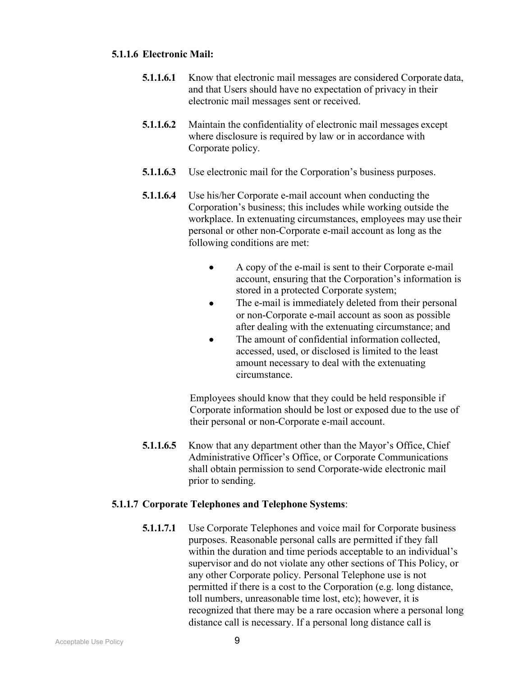### **5.1.1.6 Electronic Mail:**

- **5.1.1.6.1** Know that electronic mail messages are considered Corporate data, and that Users should have no expectation of privacy in their electronic mail messages sent or received.
- **5.1.1.6.2** Maintain the confidentiality of electronic mail messages except where disclosure is required by law or in accordance with Corporate policy.
- **5.1.1.6.3** Use electronic mail for the Corporation's business purposes.
- **5.1.1.6.4** Use his/her Corporate e-mail account when conducting the Corporation's business; this includes while working outside the workplace. In extenuating circumstances, employees may use their personal or other non-Corporate e-mail account as long as the following conditions are met:
	- A copy of the e-mail is sent to their Corporate e-mail account, ensuring that the Corporation's information is stored in a protected Corporate system;
	- The e-mail is immediately deleted from their personal or non-Corporate e-mail account as soon as possible after dealing with the extenuating circumstance; and
	- The amount of confidential information collected. accessed, used, or disclosed is limited to the least amount necessary to deal with the extenuating circumstance.

Employees should know that they could be held responsible if Corporate information should be lost or exposed due to the use of their personal or non-Corporate e-mail account.

**5.1.1.6.5** Know that any department other than the Mayor's Office, Chief Administrative Officer's Office, or Corporate Communications shall obtain permission to send Corporate-wide electronic mail prior to sending.

### **5.1.1.7 Corporate Telephones and Telephone Systems**:

**5.1.1.7.1** Use Corporate Telephones and voice mail for Corporate business purposes. Reasonable personal calls are permitted if they fall within the duration and time periods acceptable to an individual's supervisor and do not violate any other sections of This Policy, or any other Corporate policy. Personal Telephone use is not permitted if there is a cost to the Corporation (e.g. long distance, toll numbers, unreasonable time lost, etc); however, it is recognized that there may be a rare occasion where a personal long distance call is necessary. If a personal long distance call is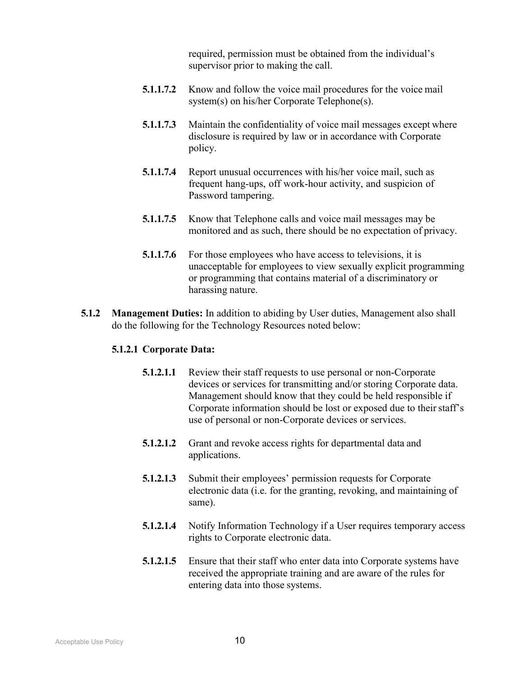required, permission must be obtained from the individual's supervisor prior to making the call.

- **5.1.1.7.2** Know and follow the voice mail procedures for the voice mail system(s) on his/her Corporate Telephone(s).
- **5.1.1.7.3** Maintain the confidentiality of voice mail messages except where disclosure is required by law or in accordance with Corporate policy.
- **5.1.1.7.4** Report unusual occurrences with his/her voice mail, such as frequent hang-ups, off work-hour activity, and suspicion of Password tampering.
- **5.1.1.7.5** Know that Telephone calls and voice mail messages may be monitored and as such, there should be no expectation of privacy.
- **5.1.1.7.6** For those employees who have access to televisions, it is unacceptable for employees to view sexually explicit programming or programming that contains material of a discriminatory or harassing nature.
- **5.1.2 Management Duties:** In addition to abiding by User duties, Management also shall do the following for the Technology Resources noted below:

#### **5.1.2.1 Corporate Data:**

- **5.1.2.1.1** Review their staff requests to use personal or non-Corporate devices or services for transmitting and/or storing Corporate data. Management should know that they could be held responsible if Corporate information should be lost or exposed due to their staff's use of personal or non-Corporate devices or services.
- **5.1.2.1.2** Grant and revoke access rights for departmental data and applications.
- **5.1.2.1.3** Submit their employees' permission requests for Corporate electronic data (i.e. for the granting, revoking, and maintaining of same).
- **5.1.2.1.4** Notify Information Technology if a User requires temporary access rights to Corporate electronic data.
- **5.1.2.1.5** Ensure that their staff who enter data into Corporate systems have received the appropriate training and are aware of the rules for entering data into those systems.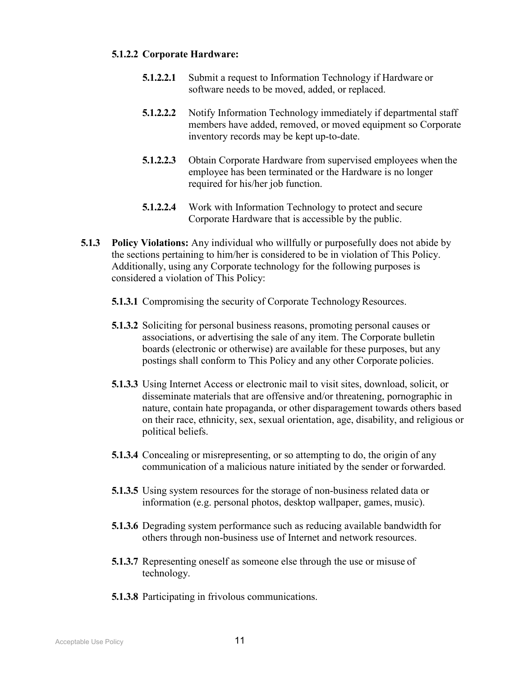#### **5.1.2.2 Corporate Hardware:**

- **5.1.2.2.1** Submit a request to Information Technology if Hardware or software needs to be moved, added, or replaced.
- **5.1.2.2.2** Notify Information Technology immediately if departmental staff members have added, removed, or moved equipment so Corporate inventory records may be kept up-to-date.
- **5.1.2.2.3** Obtain Corporate Hardware from supervised employees when the employee has been terminated or the Hardware is no longer required for his/her job function.
- **5.1.2.2.4** Work with Information Technology to protect and secure Corporate Hardware that is accessible by the public.
- **5.1.3 Policy Violations:** Any individual who willfully or purposefully does not abide by the sections pertaining to him/her is considered to be in violation of This Policy. Additionally, using any Corporate technology for the following purposes is considered a violation of This Policy:
	- **5.1.3.1** Compromising the security of Corporate Technology Resources.
	- **5.1.3.2** Soliciting for personal business reasons, promoting personal causes or associations, or advertising the sale of any item. The Corporate bulletin boards (electronic or otherwise) are available for these purposes, but any postings shall conform to This Policy and any other Corporate policies.
	- **5.1.3.3** Using Internet Access or electronic mail to visit sites, download, solicit, or disseminate materials that are offensive and/or threatening, pornographic in nature, contain hate propaganda, or other disparagement towards others based on their race, ethnicity, sex, sexual orientation, age, disability, and religious or political beliefs.
	- **5.1.3.4** Concealing or misrepresenting, or so attempting to do, the origin of any communication of a malicious nature initiated by the sender or forwarded.
	- **5.1.3.5** Using system resources for the storage of non-business related data or information (e.g. personal photos, desktop wallpaper, games, music).
	- **5.1.3.6** Degrading system performance such as reducing available bandwidth for others through non-business use of Internet and network resources.
	- **5.1.3.7** Representing oneself as someone else through the use or misuse of technology.
	- **5.1.3.8** Participating in frivolous communications.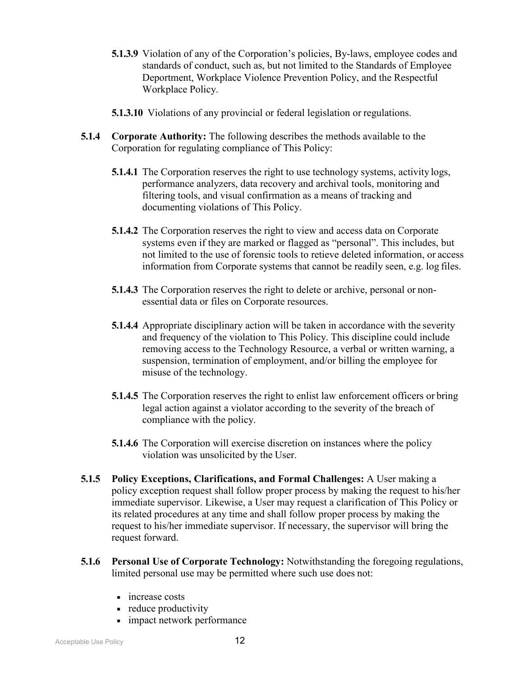- **5.1.3.9** Violation of any of the Corporation's policies, By-laws, employee codes and standards of conduct, such as, but not limited to the Standards of Employee Deportment, Workplace Violence Prevention Policy, and the Respectful Workplace Policy.
- **5.1.3.10** Violations of any provincial or federal legislation or regulations.
- **5.1.4 Corporate Authority:** The following describes the methods available to the Corporation for regulating compliance of This Policy:
	- **5.1.4.1** The Corporation reserves the right to use technology systems, activity logs, performance analyzers, data recovery and archival tools, monitoring and filtering tools, and visual confirmation as a means of tracking and documenting violations of This Policy.
	- **5.1.4.2** The Corporation reserves the right to view and access data on Corporate systems even if they are marked or flagged as "personal". This includes, but not limited to the use of forensic tools to retieve deleted information, or access information from Corporate systems that cannot be readily seen, e.g. log files.
	- **5.1.4.3** The Corporation reserves the right to delete or archive, personal or nonessential data or files on Corporate resources.
	- **5.1.4.4** Appropriate disciplinary action will be taken in accordance with the severity and frequency of the violation to This Policy. This discipline could include removing access to the Technology Resource, a verbal or written warning, a suspension, termination of employment, and/or billing the employee for misuse of the technology.
	- **5.1.4.5** The Corporation reserves the right to enlist law enforcement officers or bring legal action against a violator according to the severity of the breach of compliance with the policy.
	- **5.1.4.6** The Corporation will exercise discretion on instances where the policy violation was unsolicited by the User.
- **5.1.5 Policy Exceptions, Clarifications, and Formal Challenges:** A User making a policy exception request shall follow proper process by making the request to his/her immediate supervisor. Likewise, a User may request a clarification of This Policy or its related procedures at any time and shall follow proper process by making the request to his/her immediate supervisor. If necessary, the supervisor will bring the request forward.
- **5.1.6 Personal Use of Corporate Technology:** Notwithstanding the foregoing regulations, limited personal use may be permitted where such use does not:
	- increase costs
	- reduce productivity
	- impact network performance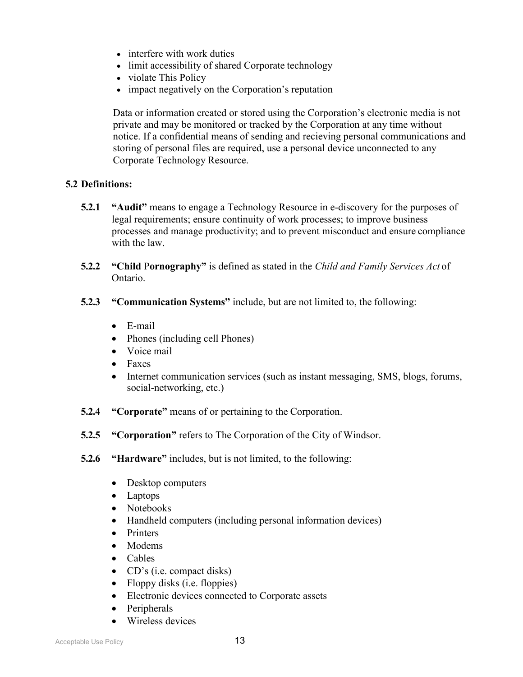- interfere with work duties
- limit accessibility of shared Corporate technology
- violate This Policy
- impact negatively on the Corporation's reputation

Data or information created or stored using the Corporation's electronic media is not private and may be monitored or tracked by the Corporation at any time without notice. If a confidential means of sending and recieving personal communications and storing of personal files are required, use a personal device unconnected to any Corporate Technology Resource.

### **5.2 Definitions:**

- **5.2.1 "Audit"** means to engage a Technology Resource in e-discovery for the purposes of legal requirements; ensure continuity of work processes; to improve business processes and manage productivity; and to prevent misconduct and ensure compliance with the law.
- **5.2.2 "Child** P**ornography"** is defined as stated in the *Child and Family Services Act* of Ontario.
- **5.2.3 "Communication Systems"** include, but are not limited to, the following:
	- E-mail
	- Phones (including cell Phones)
	- Voice mail
	- Faxes
	- Internet communication services (such as instant messaging, SMS, blogs, forums, social-networking, etc.)
- **5.2.4 "Corporate"** means of or pertaining to the Corporation.
- **5.2.5 "Corporation"** refers to The Corporation of the City of Windsor.
- **5.2.6 "Hardware"** includes, but is not limited, to the following:
	- Desktop computers
	- Laptops
	- Notebooks
	- Handheld computers (including personal information devices)
	- Printers
	- Modems
	- Cables
	- CD's (i.e. compact disks)
	- Floppy disks (i.e. floppies)
	- Electronic devices connected to Corporate assets
	- Peripherals
	- Wireless devices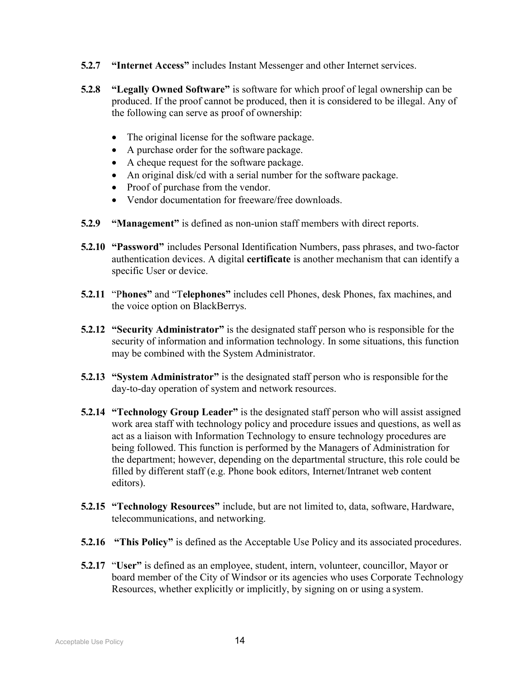- **5.2.7 "Internet Access"** includes Instant Messenger and other Internet services.
- **5.2.8 "Legally Owned Software"** is software for which proof of legal ownership can be produced. If the proof cannot be produced, then it is considered to be illegal. Any of the following can serve as proof of ownership:
	- The original license for the software package.
	- A purchase order for the software package.
	- A cheque request for the software package.
	- An original disk/cd with a serial number for the software package.
	- Proof of purchase from the vendor.
	- Vendor documentation for freeware/free downloads.
- **5.2.9 "Management"** is defined as non-union staff members with direct reports.
- **5.2.10 "Password"** includes Personal Identification Numbers, pass phrases, and two-factor authentication devices. A digital **certificate** is another mechanism that can identify a specific User or device.
- **5.2.11** "P**hones"** and "T**elephones"** includes cell Phones, desk Phones, fax machines, and the voice option on BlackBerrys.
- **5.2.12 "Security Administrator"** is the designated staff person who is responsible for the security of information and information technology. In some situations, this function may be combined with the System Administrator.
- **5.2.13 "System Administrator"** is the designated staff person who is responsible forthe day-to-day operation of system and network resources.
- **5.2.14 "Technology Group Leader"** is the designated staff person who will assist assigned work area staff with technology policy and procedure issues and questions, as well as act as a liaison with Information Technology to ensure technology procedures are being followed. This function is performed by the Managers of Administration for the department; however, depending on the departmental structure, this role could be filled by different staff (e.g. Phone book editors, Internet/Intranet web content editors).
- **5.2.15 "Technology Resources"** include, but are not limited to, data, software, Hardware, telecommunications, and networking.
- **5.2.16 "This Policy"** is defined as the Acceptable Use Policy and its associated procedures.
- **5.2.17** "**User"** is defined as an employee, student, intern, volunteer, councillor, Mayor or board member of the City of Windsor or its agencies who uses Corporate Technology Resources, whether explicitly or implicitly, by signing on or using a system.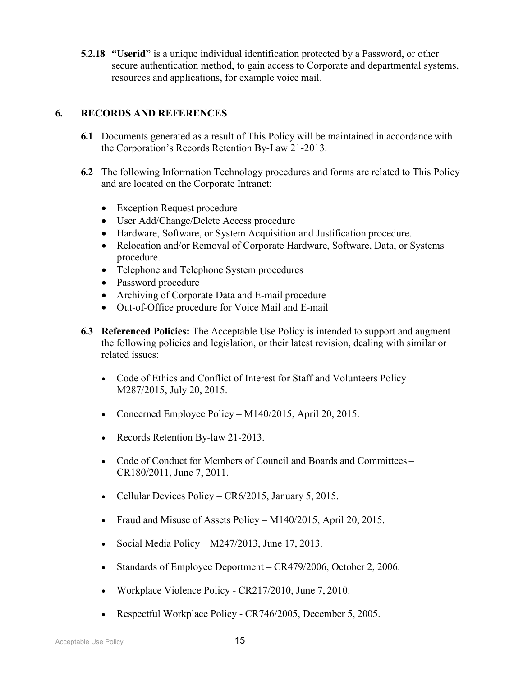**5.2.18 "Userid"** is a unique individual identification protected by a Password, or other secure authentication method, to gain access to Corporate and departmental systems, resources and applications, for example voice mail.

## **6. RECORDS AND REFERENCES**

- **6.1** Documents generated as a result of This Policy will be maintained in accordance with the Corporation's Records Retention By-Law 21-2013.
- **6.2** The following Information Technology procedures and forms are related to This Policy and are located on the Corporate Intranet:
	- Exception Request procedure
	- User Add/Change/Delete Access procedure
	- Hardware, Software, or System Acquisition and Justification procedure.
	- Relocation and/or Removal of Corporate Hardware, Software, Data, or Systems procedure.
	- Telephone and Telephone System procedures
	- Password procedure
	- Archiving of Corporate Data and E-mail procedure
	- Out-of-Office procedure for Voice Mail and E-mail
- **6.3 Referenced Policies:** The Acceptable Use Policy is intended to support and augment the following policies and legislation, or their latest revision, dealing with similar or related issues:
	- Code of Ethics and Conflict of Interest for Staff and Volunteers Policy-M287/2015, July 20, 2015.
	- Concerned Employee Policy M140/2015, April 20, 2015.
	- Records Retention By-law 21-2013.
	- Code of Conduct for Members of Council and Boards and Committees CR180/2011, June 7, 2011.
	- Cellular Devices Policy CR6/2015, January 5, 2015.
	- Fraud and Misuse of Assets Policy M140/2015, April 20, 2015.
	- Social Media Policy M247/2013, June 17, 2013.
	- Standards of Employee Deportment CR479/2006, October 2, 2006.
	- Workplace Violence Policy CR217/2010, June 7, 2010.
	- Respectful Workplace Policy CR746/2005, December 5, 2005.